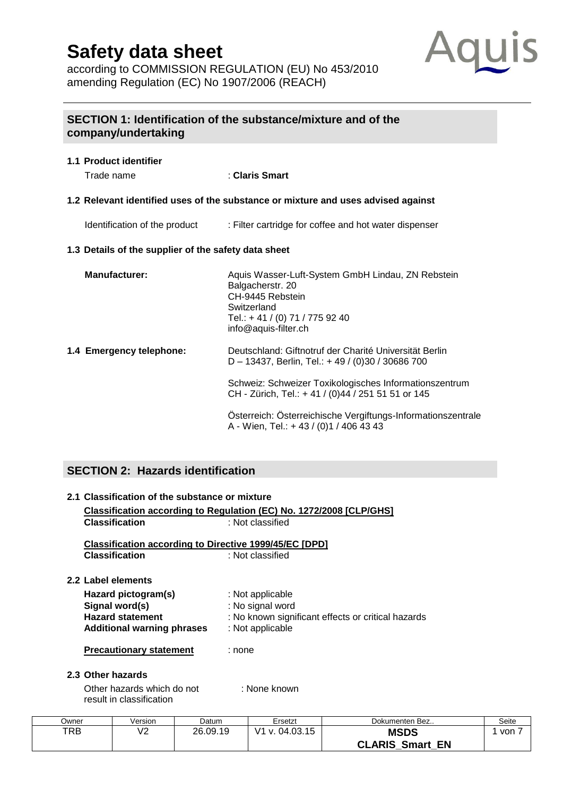according to COMMISSION REGULATION (EU) No 453/2010 amending Regulation (EC) No 1907/2006 (REACH)



### **SECTION 1: Identification of the substance/mixture and of the company/undertaking**

## **1.1 Product identifier** Trade name : **Claris Smart 1.2 Relevant identified uses of the substance or mixture and uses advised against**  Identification of the product : Filter cartridge for coffee and hot water dispenser **1.3 Details of the supplier of the safety data sheet Manufacturer:** Aquis Wasser-Luft-System GmbH Lindau, ZN Rebstein Balgacherstr. 20 CH-9445 Rebstein **Switzerland** Tel.: + 41 / (0) 71 / 775 92 40 [info@aquis-filter.ch](mailto:info@aquis-filter.ch) **1.4 Emergency telephone:** Deutschland: Giftnotruf der Charité Universität Berlin D – 13437, Berlin, Tel.: + 49 / (0)30 / 30686 700 Schweiz: Schweizer Toxikologisches Informationszentrum CH - Zürich, Tel.: + 41 / (0)44 / 251 51 51 or 145 Österreich: Österreichische Vergiftungs-Informationszentrale A - Wien, Tel.: + 43 / (0)1 / 406 43 43

### **SECTION 2: Hazards identification**

### **2.1 Classification of the substance or mixture Classification according to Regulation (EC) No. 1272/2008 [CLP/GHS] Classification** : Not classified **Classification according to Directive 1999/45/EC [DPD] Classification** : Not classified **2.2 Label elements Hazard pictogram(s)** : Not applicable **Signal word(s)** : No signal word **Hazard statement** : No known significant effects or critical hazards **Additional warning phrases** : Not applicable **Precautionary statement** : none **2.3 Other hazards**

Other hazards which do not : None known result in classification

| Dwner | Version | Datum    | Ersetzt        | Dokumenten Bez            | Seite |
|-------|---------|----------|----------------|---------------------------|-------|
| TRB   | V2      | 26.09.19 | V1 v. 04.03.15 | <b>MSDS</b>               | von   |
|       |         |          |                | <b>CLARIS Smart</b><br>EN |       |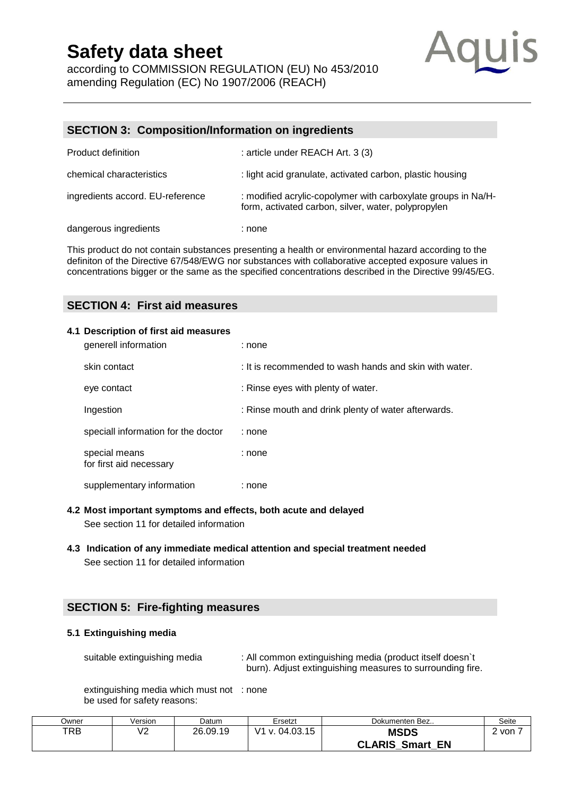according to COMMISSION REGULATION (EU) No 453/2010 amending Regulation (EC) No 1907/2006 (REACH)



#### **SECTION 3: Composition/Information on ingredients**

| <b>Product definition</b>        | : article under REACH Art. 3 (3)                                                                                     |
|----------------------------------|----------------------------------------------------------------------------------------------------------------------|
| chemical characteristics         | : light acid granulate, activated carbon, plastic housing                                                            |
| ingredients accord. EU-reference | : modified acrylic-copolymer with carboxylate groups in Na/H-<br>form, activated carbon, silver, water, polypropylen |
| dangerous ingredients            | : none                                                                                                               |

This product do not contain substances presenting a health or environmental hazard according to the definiton of the Directive 67/548/EWG nor substances with [collaborative](http://dict.leo.org/se?lp=ende&p=/Mn4k.&search=collaborative) accepted exposure values in concentrations bigger or the same as the specified concentrations described in the Directive 99/45/EG.

#### **SECTION 4: First aid measures**

#### **4.1 Description of first aid measures**

| generell information                     | : none                                                 |
|------------------------------------------|--------------------------------------------------------|
| skin contact                             | : It is recommended to wash hands and skin with water. |
| eye contact                              | : Rinse eyes with plenty of water.                     |
| Ingestion                                | : Rinse mouth and drink plenty of water afterwards.    |
| speciall information for the doctor      | : none                                                 |
| special means<br>for first aid necessary | : none                                                 |
| supplementary information                | : none                                                 |

#### **4.2 Most important symptoms and effects, both acute and delayed**

See section 11 for detailed information

#### **4.3 Indication of any immediate medical attention and special treatment needed**  See section 11 for detailed information

#### **SECTION 5: Fire-fighting measures**

#### **5.1 Extinguishing media**

suitable extinguishing media : All common extinguishing media (product itself doesn't burn). Adjust extinguishing measures to surrounding fire.

extinguishing media which must not : none be used for safety reasons:

| ⊃wner | Version          | Datum    | Ersetzt        | Dokumenten Bez         | Seite |
|-------|------------------|----------|----------------|------------------------|-------|
| TRB   | $\sqrt{2}$<br>៴∠ | 26.09.19 | V1 v. 04.03.15 | <b>MSDS</b>            | von   |
|       |                  |          |                | <b>CLARIS Smart EN</b> |       |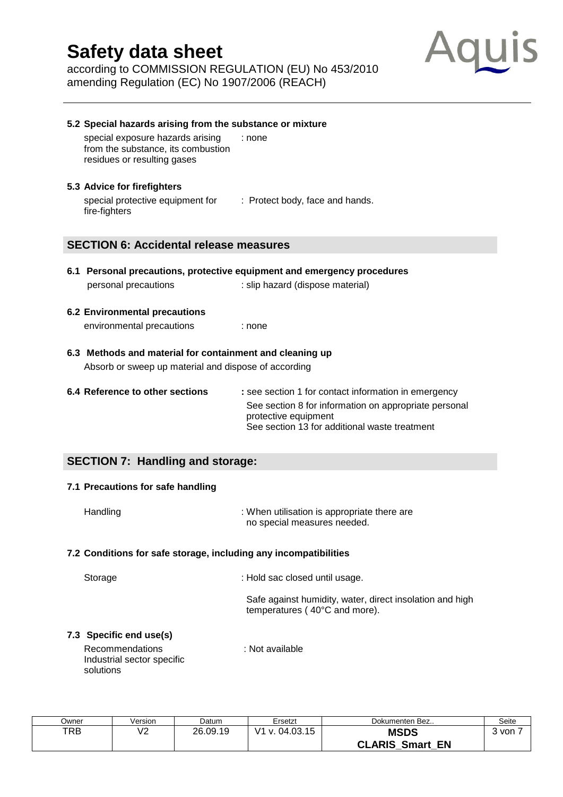according to COMMISSION REGULATION (EU) No 453/2010 amending Regulation (EC) No 1907/2006 (REACH)



| 5.2 Special hazards arising from the substance or mixture                                             |                                                                               |
|-------------------------------------------------------------------------------------------------------|-------------------------------------------------------------------------------|
| special exposure hazards arising<br>from the substance, its combustion<br>residues or resulting gases | : none                                                                        |
| 5.3 Advice for firefighters                                                                           |                                                                               |
| special protective equipment for : Protect body, face and hands.<br>fire-fighters                     |                                                                               |
| <b>SECTION 6: Accidental release measures</b>                                                         |                                                                               |
|                                                                                                       |                                                                               |
|                                                                                                       | 6.1 Personal precautions, protective equipment and emergency procedures       |
| personal precautions                                                                                  | : slip hazard (dispose material)                                              |
| <b>6.2 Environmental precautions</b>                                                                  |                                                                               |
| environmental precautions                                                                             | : none                                                                        |
| 6.3 Methods and material for containment and cleaning up                                              |                                                                               |
| Absorb or sweep up material and dispose of according                                                  |                                                                               |
| 6.4 Reference to other sections                                                                       | : see section 1 for contact information in emergency                          |
|                                                                                                       | See section 8 for information on appropriate personal<br>protective equipment |

### **SECTION 7: Handling and storage:**

#### **7.1 Precautions for safe handling**

| Handling | : When utilisation is appropriate there are |
|----------|---------------------------------------------|
|          | no special measures needed.                 |

#### **7.2 Conditions for safe storage, including any incompatibilities**

| Storage               | : Hold sac closed until usage.                                                            |
|-----------------------|-------------------------------------------------------------------------------------------|
|                       | Safe against humidity, water, direct insolation and high<br>temperatures (40°C and more). |
| 3 Specific end use(s) |                                                                                           |

See section 13 for additional waste treatment

### **7.3 Specific end use(s)**

Recommendations : Not available Industrial sector specific solutions

| Owner | √ersion | Datum    | Ersetzt                   | Dokumenten Bez            | Seite |
|-------|---------|----------|---------------------------|---------------------------|-------|
| TRB   | V2      | 26.09.19 | ۷1<br>$\sqrt{0.04.03.15}$ | <b>MSDS</b>               | 3 von |
|       |         |          |                           | <b>CLARIS Smart</b><br>EN |       |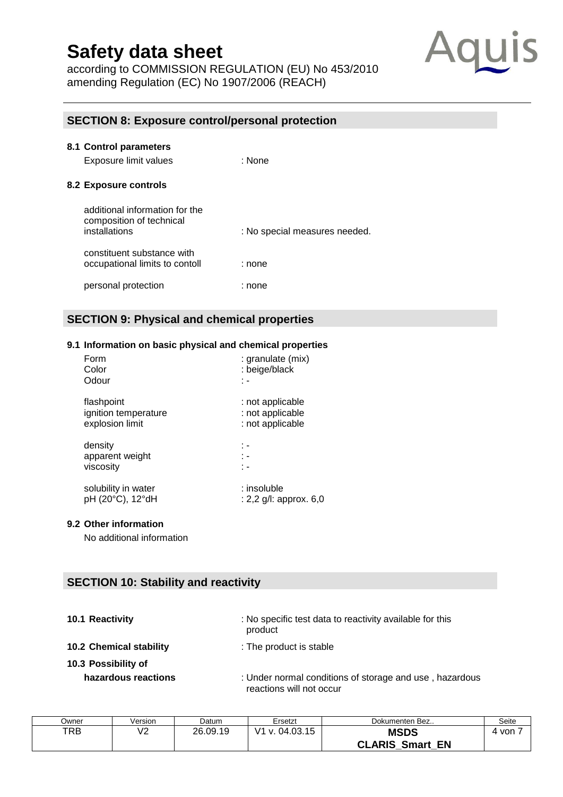according to COMMISSION REGULATION (EU) No 453/2010 amending Regulation (EC) No 1907/2006 (REACH)



#### **SECTION 8: Exposure control/personal protection**

| 8.1 Control parameters<br>Exposure limit values                             | : None                        |
|-----------------------------------------------------------------------------|-------------------------------|
| 8.2 Exposure controls                                                       |                               |
| additional information for the<br>composition of technical<br>installations | : No special measures needed. |
| constituent substance with<br>occupational limits to contoll                | : none                        |
| personal protection                                                         | : none                        |

### **SECTION 9: Physical and chemical properties**

#### **9.1 Information on basic physical and chemical properties**

| Form                 | : granulate (mix)         |
|----------------------|---------------------------|
| Color                | : beige/black             |
| Odour                | ٠.                        |
| flashpoint           | : not applicable          |
| ignition temperature | : not applicable          |
| explosion limit      | : not applicable          |
| density              | : -                       |
| apparent weight      | t -                       |
| viscosity            | t -                       |
| solubility in water  | : insoluble               |
| pH (20°C), 12°dH     | : 2,2 $g/l$ : approx. 6,0 |

#### **9.2 Other information**

No additional information

#### **SECTION 10: Stability and reactivity**

| 10.1 Reactivity |  |
|-----------------|--|
|                 |  |

**10.1 Reactivity** : No specific test data to reactivity available for this product

**10.2 Chemical stability** : The product is stable

- **10.3 Possibility of** 
	-
	- **hazardous reactions** : Under normal conditions of storage and use , hazardous reactions will not occur

| Dwner | Version | Datum    | Ersetzt        | Dokumenten Bez                        | Seite |
|-------|---------|----------|----------------|---------------------------------------|-------|
| TRB   | V2      | 26.09.19 | V1 v. 04.03.15 | <b>MSDS</b><br><b>CLARIS Smart EN</b> | von   |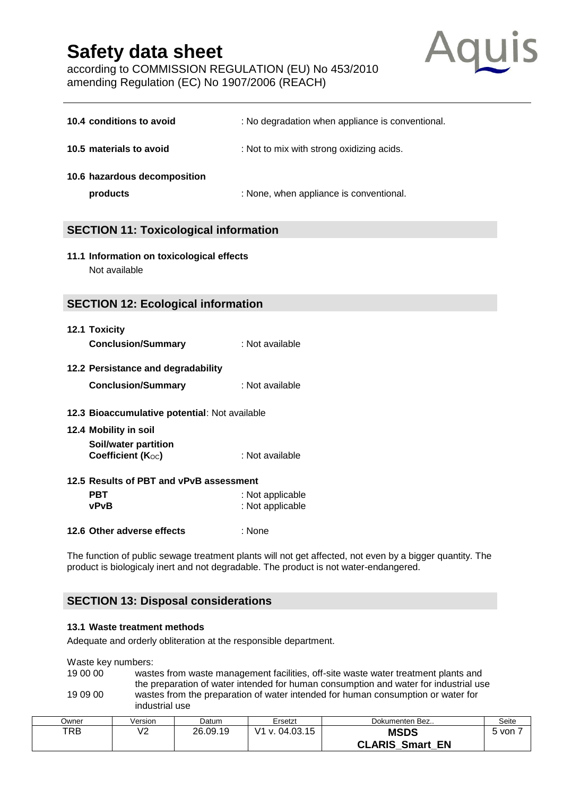according to COMMISSION REGULATION (EU) No 453/2010 amending Regulation (EC) No 1907/2006 (REACH)



| 10.4 conditions to avoid                                   | : No degradation when appliance is conventional. |  |  |
|------------------------------------------------------------|--------------------------------------------------|--|--|
| 10.5 materials to avoid                                    | : Not to mix with strong oxidizing acids.        |  |  |
| 10.6 hazardous decomposition<br>products                   | : None, when appliance is conventional.          |  |  |
| <b>SECTION 11: Toxicological information</b>               |                                                  |  |  |
| 11.1 Information on toxicological effects<br>Not available |                                                  |  |  |

#### **SECTION 12: Ecological information**

| 12.1 Toxicity             |                 |
|---------------------------|-----------------|
| <b>Conclusion/Summary</b> | : Not available |

#### **12.2 Persistance and degradability**

| <b>Conclusion/Summary</b> | : Not available |
|---------------------------|-----------------|
|---------------------------|-----------------|

#### **12.3 Bioaccumulative potential**: Not available

#### **12.4 Mobility in soil Soil/water partition Coefficient (K**<sub>OC</sub>) : Not available

# **12.5 Results of PBT and vPvB assessment**

| <b>PBT</b>  | : Not applicable |
|-------------|------------------|
| <b>vPvB</b> | : Not applicable |

#### **12.6 Other adverse effects** : None

The function of public [sewage](http://dict.leo.org/se?lp=ende&p=/Mn4k.&search=sewage) [treatment](http://dict.leo.org/se?lp=ende&p=/Mn4k.&search=treatment) [plants](http://dict.leo.org/se?lp=ende&p=/Mn4k.&search=plants) will not get affected, not even by a bigger quantity. The product is biologicaly inert and not [degradable.](http://dict.leo.org/se?lp=ende&p=/Mn4k.&search=bio-degradable) The product is not water-endangered.

#### **SECTION 13: Disposal considerations**

#### **13.1 Waste treatment methods**

[Adequate](http://dict.leo.org/se?lp=ende&p=/Mn4k.&search=adequate) [and](http://dict.leo.org/se?lp=ende&p=/Mn4k.&search=and) [orderly](http://dict.leo.org/se?lp=ende&p=/Mn4k.&search=orderly) obliteration at the responsible department.

Waste key numbers:

19 00 00 wastes from waste management facilities, off-site waste water treatment plants and the preparation of water intended for human consumption and water for industrial use 19 09 00 wastes from the preparation of water intended for human consumption or water for industrial use

| Jwner | Version   | Datum    | Ersetzt        | Dokumenten Bez                           | Seite |
|-------|-----------|----------|----------------|------------------------------------------|-------|
| TRB   | 10<br>v 4 | 26.09.19 | V1 v. 04.03.15 | <b>MSDS</b><br><b>CLARIS Smart</b><br>EN | von   |
|       |           |          |                |                                          |       |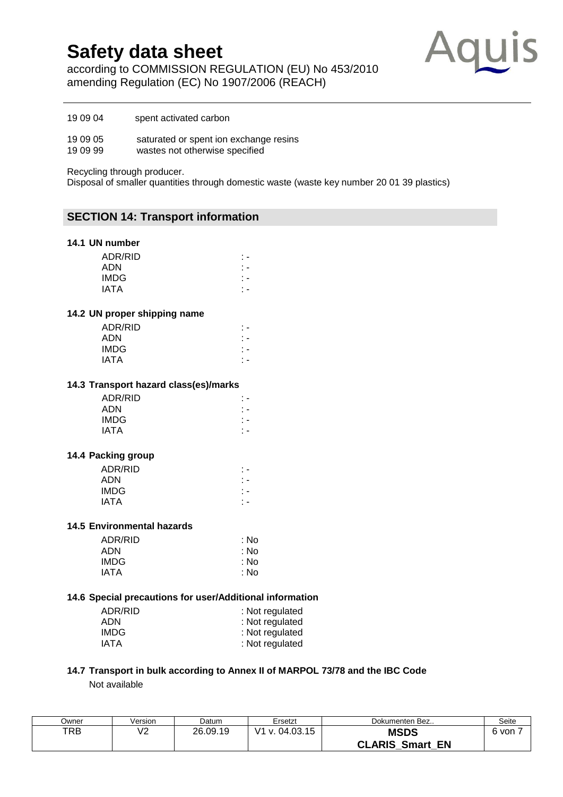according to COMMISSION REGULATION (EU) No 453/2010 amending Regulation (EC) No 1907/2006 (REACH)



19 09 04 spent activated carbon

19 09 05 saturated or spent ion exchange resins<br>19 09 99 wastes not otherwise specified

wastes not otherwise specified

Recycling through producer.

Disposal of smaller quantities through domestic waste (waste key number 20 01 39 plastics)

#### **SECTION 14: Transport information**

#### **14.1 UN number**

| ADR/RID |  |
|---------|--|
| ADN     |  |
| IMDG    |  |
| IATA    |  |

#### **14.2 UN proper shipping name**

| ADR/RID |  |  |    |
|---------|--|--|----|
| ADN     |  |  |    |
| IMDG    |  |  | ٠. |
| IATA    |  |  |    |
|         |  |  |    |

#### **14.3 Transport hazard class(es)/marks**

#### **14.4 Packing group**

| ADR/RID     |  |
|-------------|--|
| ADN         |  |
| <b>IMDG</b> |  |
| IATA        |  |
|             |  |

#### **14.5 Environmental hazards**

| ADR/RID     | : No |
|-------------|------|
| <b>ADN</b>  | : No |
| <b>IMDG</b> | : No |
| <b>IATA</b> | : No |
|             |      |

#### **14.6 Special precautions for user/Additional information**

| ADR/RID | : Not regulated |
|---------|-----------------|
| ADN     | : Not regulated |
| IMDG    | : Not regulated |
| IATA    | : Not regulated |

#### **14.7 Transport in bulk according to Annex II of MARPOL 73/78 and the IBC Code** Not available

| Jwner | Version | Datum    | Ersetzt                                       | Dokumenten Bez                           | Seite |
|-------|---------|----------|-----------------------------------------------|------------------------------------------|-------|
| TRB   | V2      | 26.09.19 | $\overline{14}$<br>. 04.03.15<br>$\mathbf{V}$ | <b>MSDS</b><br><b>CLARIS Smart</b><br>EN | 6 von |